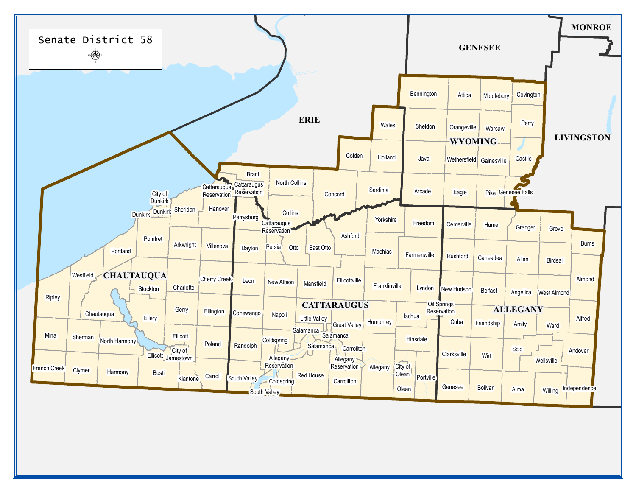